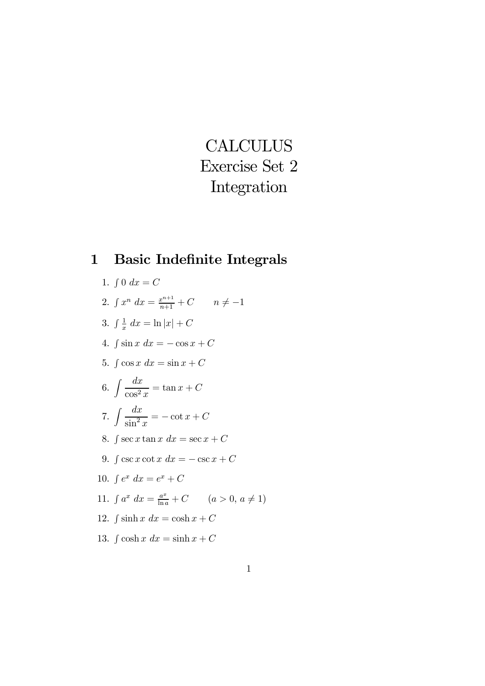# **CALCULUS** Exercise Set 2 Integration

# 1 Basic Indefinite Integrals

- 1.  $\int 0 \, dx = C$
- 2.  $\int x^n dx = \frac{x^{n+1}}{n+1} + C$   $n \neq -1$
- 3.  $\int \frac{1}{x} dx = \ln |x| + C$
- 4.  $\int \sin x \ dx = -\cos x + C$
- 5.  $\int \cos x \ dx = \sin x + C$
- 6.  $\int \frac{dx}{x^2}$  $\frac{d}{\cos^2 x} = \tan x + C$
- 7.  $\int \frac{dx}{x^2}$  $\frac{dx}{\sin^2 x} = -\cot x + C$
- 8.  $\int \sec x \tan x \ dx = \sec x + C$
- 9.  $\int \csc x \cot x \, dx = -\csc x + C$
- 10.  $\int e^x dx = e^x + C$
- 11.  $\int a^x dx = \frac{a^x}{\ln a} + C$   $(a > 0, a \neq 1)$
- 12.  $\int \sinh x \ dx = \cosh x + C$
- 13.  $\int \cosh x \, dx = \sinh x + C$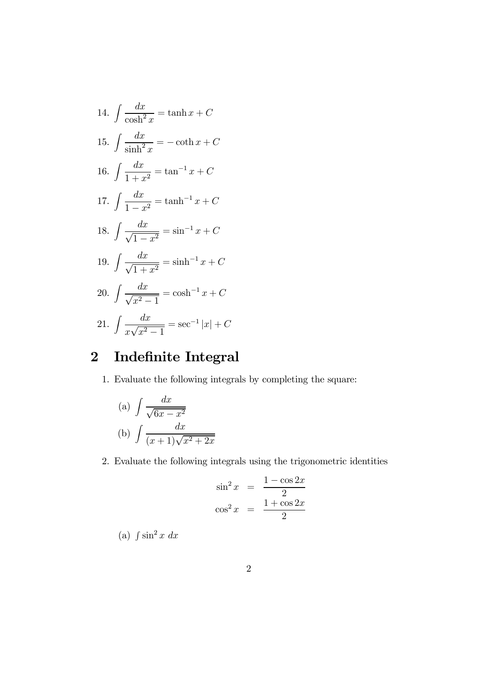14. 
$$
\int \frac{dx}{\cosh^2 x} = \tanh x + C
$$
  
\n15. 
$$
\int \frac{dx}{\sinh^2 x} = -\coth x + C
$$
  
\n16. 
$$
\int \frac{dx}{1 + x^2} = \tan^{-1} x + C
$$
  
\n17. 
$$
\int \frac{dx}{1 - x^2} = \tanh^{-1} x + C
$$
  
\n18. 
$$
\int \frac{dx}{\sqrt{1 - x^2}} = \sin^{-1} x + C
$$
  
\n19. 
$$
\int \frac{dx}{\sqrt{1 + x^2}} = \sinh^{-1} x + C
$$
  
\n20. 
$$
\int \frac{dx}{\sqrt{x^2 - 1}} = \cosh^{-1} x + C
$$
  
\n21. 
$$
\int \frac{dx}{x\sqrt{x^2 - 1}} = \sec^{-1} |x| + C
$$

# 2 Indefinite Integral

1. Evaluate the following integrals by completing the square:

(a) 
$$
\int \frac{dx}{\sqrt{6x - x^2}}
$$
  
(b) 
$$
\int \frac{dx}{(x+1)\sqrt{x^2 + 2x}}
$$

2. Evaluate the following integrals using the trigonometric identities

$$
\sin^2 x = \frac{1 - \cos 2x}{2}
$$

$$
\cos^2 x = \frac{1 + \cos 2x}{2}
$$

(a)  $\int \sin^2 x \ dx$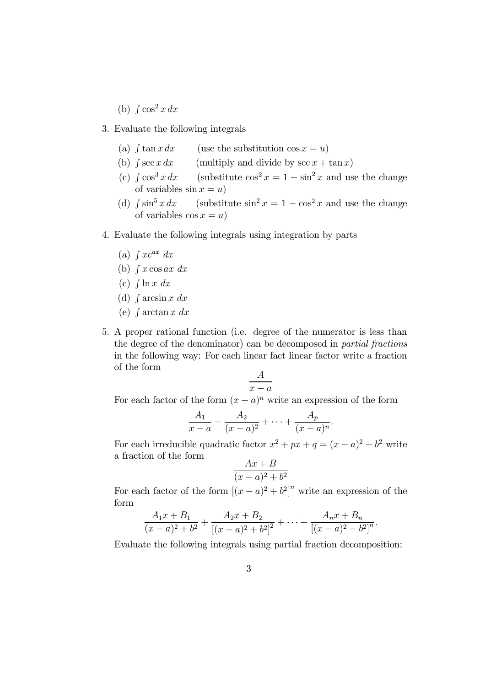(b)  $\int \cos^2 x dx$ 

3. Evaluate the following integrals

- (a)  $\int \tan x dx$  (use the substitution cos  $x = u$ )
- (b)  $\int \sec x \, dx$  (multiply and divide by  $\sec x + \tan x$ )
- (c)  $\int \cos^3 x \, dx$  (substitute  $\cos^2 x = 1 \sin^2 x$  and use the change of variables  $\sin x = u$ )
- (d)  $\int \sin^5 x dx$  (substitute  $\sin^2 x = 1 \cos^2 x$  and use the change of variables  $\cos x = u$ )
- 4. Evaluate the following integrals using integration by parts
	- (a)  $\int x e^{ax} dx$
	- (b)  $\int x \cos ax \ dx$
	- (c)  $\int \ln x \ dx$
	- (d)  $\int \arcsin x dx$
	- (e)  $\int \arctan x \ dx$
- 5. A proper rational function (i.e. degree of the numerator is less than the degree of the denominator) can be decomposed in partial fractions in the following way: For each linear fact linear factor write a fraction of the form

$$
\frac{A}{x-a}
$$

For each factor of the form  $(x - a)^n$  write an expression of the form

$$
\frac{A_1}{x-a} + \frac{A_2}{(x-a)^2} + \dots + \frac{A_p}{(x-a)^n}.
$$

For each irreducible quadratic factor  $x^2 + px + q = (x - a)^2 + b^2$  write a fraction of the form  $\overline{B}$ 

$$
\frac{Ax + B}{(x - a)^2 + b^2}
$$

For each factor of the form  $[(x-a)^2 + b^2]^n$  write an expression of the form

$$
\frac{A_1x + B_1}{(x-a)^2 + b^2} + \frac{A_2x + B_2}{[(x-a)^2 + b^2]^2} + \dots + \frac{A_nx + B_n}{[(x-a)^2 + b^2]^n}.
$$

Evaluate the following integrals using partial fraction decomposition: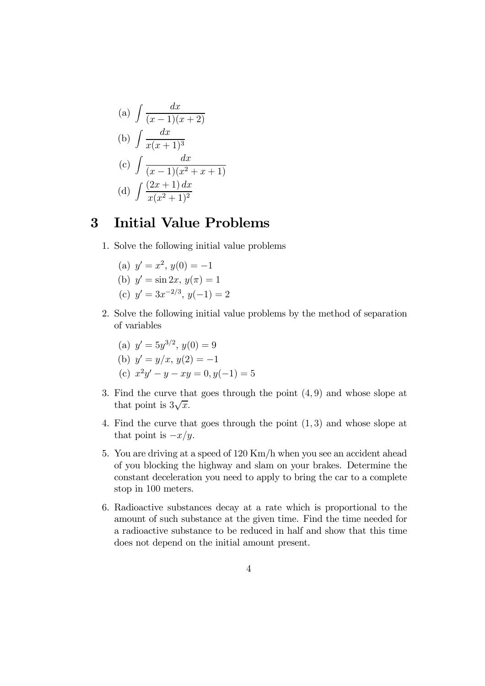(a) 
$$
\int \frac{dx}{(x-1)(x+2)}
$$
  
\n(b)  $\int \frac{dx}{x(x+1)^3}$   
\n(c)  $\int \frac{dx}{(x-1)(x^2+x+1)}$   
\n(d)  $\int \frac{(2x+1) dx}{x(x^2+1)^2}$ 

#### 3 Initial Value Problems

- 1. Solve the following initial value problems
	- (a)  $y' = x^2$ ,  $y(0) = -1$ (b)  $y' = \sin 2x, y(\pi) = 1$ (c)  $y' = 3x^{-2/3}, y(-1) = 2$
- 2. Solve the following initial value problems by the method of separation of variables
	- (a)  $y' = 5y^{3/2}, y(0) = 9$ (b)  $y' = y/x$ ,  $y(2) = -1$
	- (c)  $x^2y'-y-xy=0, y(-1)=5$
- 3. Find the curve that goes through the point (4, 9) and whose slope at that point is  $3\sqrt{x}$ .
- 4. Find the curve that goes through the point (1, 3) and whose slope at that point is  $-x/y$ .
- 5. You are driving at a speed of 120 Km/h when you see an accident ahead of you blocking the highway and slam on your brakes. Determine the constant deceleration you need to apply to bring the car to a complete stop in 100 meters.
- 6. Radioactive substances decay at a rate which is proportional to the amount of such substance at the given time. Find the time needed for a radioactive substance to be reduced in half and show that this time does not depend on the initial amount present.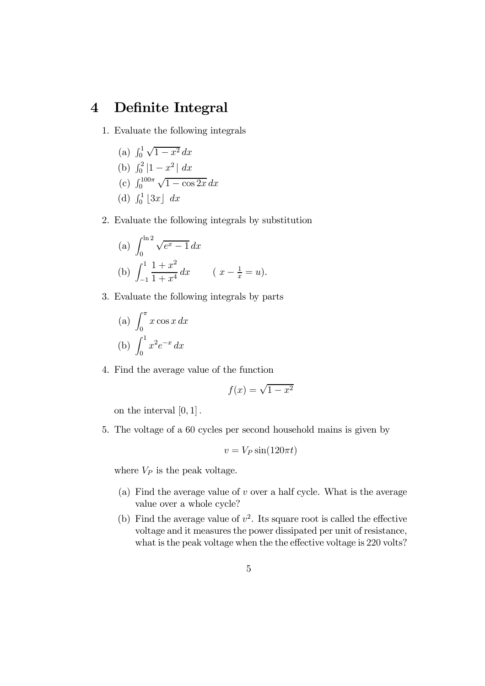## 4 Definite Integral

- 1. Evaluate the following integrals
	- (a)  $\int_0^1 \sqrt{1-x^2} \, dx$ (b)  $\int_0^2 |1 - x^2| dx$ (c)  $\int_0^{100\pi} \sqrt{1 - \cos 2x} \, dx$ (d)  $\int_0^1 [3x] dx$
- 2. Evaluate the following integrals by substitution

(a) 
$$
\int_0^{\ln 2} \sqrt{e^x - 1} \, dx
$$
  
\n(b)  $\int_{-1}^1 \frac{1 + x^2}{1 + x^4} \, dx$   $(x - \frac{1}{x} = u).$ 

3. Evaluate the following integrals by parts

(a) 
$$
\int_0^{\pi} x \cos x \, dx
$$
  
(b)  $\int_0^1 x^2 e^{-x} \, dx$ 

4. Find the average value of the function

$$
f(x) = \sqrt{1 - x^2}
$$

on the interval  $[0, 1]$ .

5. The voltage of a 60 cycles per second household mains is given by

$$
v = V_P \sin(120\pi t)
$$

where  $V_P$  is the peak voltage.

- (a) Find the average value of  $v$  over a half cycle. What is the average value over a whole cycle?
- (b) Find the average value of  $v^2$ . Its square root is called the effective voltage and it measures the power dissipated per unit of resistance, what is the peak voltage when the the effective voltage is 220 volts?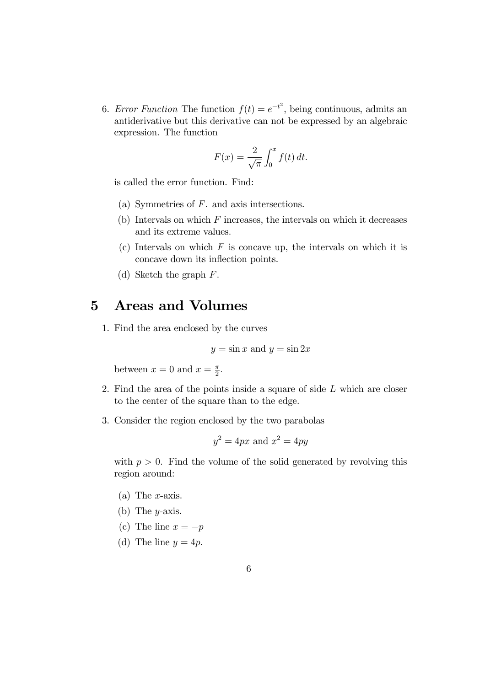6. Error Function The function  $f(t) = e^{-t^2}$ , being continuous, admits an antiderivative but this derivative can not be expressed by an algebraic expression. The function

$$
F(x) = \frac{2}{\sqrt{\pi}} \int_0^x f(t) dt.
$$

is called the error function. Find:

- (a) Symmetries of F. and axis intersections.
- $(b)$  Intervals on which  $F$  increases, the intervals on which it decreases and its extreme values.
- (c) Intervals on which  $F$  is concave up, the intervals on which it is concave down its inflection points.
- (d) Sketch the graph F.

#### 5 Areas and Volumes

1. Find the area enclosed by the curves

$$
y = \sin x \text{ and } y = \sin 2x
$$

between  $x = 0$  and  $x = \frac{\pi}{2}$ .

- 2. Find the area of the points inside a square of side  $L$  which are closer to the center of the square than to the edge.
- 3. Consider the region enclosed by the two parabolas

$$
y^2 = 4px
$$
 and  $x^2 = 4py$ 

with  $p > 0$ . Find the volume of the solid generated by revolving this region around:

- (a) The  $x$ -axis.
- (b) The  $y$ -axis.
- (c) The line  $x = -p$
- (d) The line  $y = 4p$ .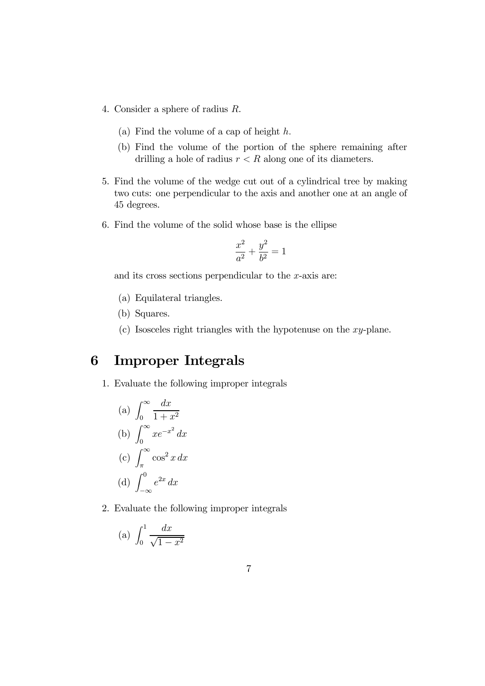- 4. Consider a sphere of radius R.
	- (a) Find the volume of a cap of height h.
	- (b) Find the volume of the portion of the sphere remaining after drilling a hole of radius  $r < R$  along one of its diameters.
- 5. Find the volume of the wedge cut out of a cylindrical tree by making two cuts: one perpendicular to the axis and another one at an angle of 45 degrees.
- 6. Find the volume of the solid whose base is the ellipse

$$
\frac{x^2}{a^2} + \frac{y^2}{b^2} = 1
$$

and its cross sections perpendicular to the  $x$ -axis are:

- (a) Equilateral triangles.
- (b) Squares.
- (c) Isosceles right triangles with the hypotenuse on the  $xy$ -plane.

### 6 Improper Integrals

1. Evaluate the following improper integrals

(a) 
$$
\int_0^\infty \frac{dx}{1+x^2}
$$
  
\n(b) 
$$
\int_0^\infty xe^{-x^2} dx
$$
  
\n(c) 
$$
\int_{\pi}^\infty \cos^2 x \, dx
$$
  
\n(d) 
$$
\int_{-\infty}^0 e^{2x} \, dx
$$

2. Evaluate the following improper integrals

$$
(a) \int_0^1 \frac{dx}{\sqrt{1 - x^2}}
$$